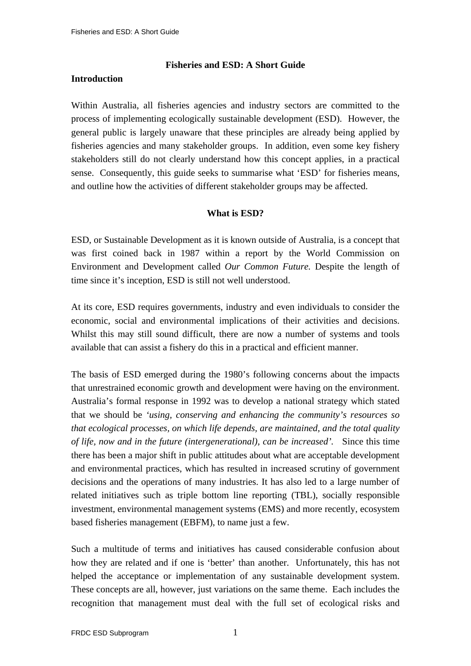# **Fisheries and ESD: A Short Guide**

## **Introduction**

Within Australia, all fisheries agencies and industry sectors are committed to the process of implementing ecologically sustainable development (ESD). However, the general public is largely unaware that these principles are already being applied by fisheries agencies and many stakeholder groups. In addition, even some key fishery stakeholders still do not clearly understand how this concept applies, in a practical sense. Consequently, this guide seeks to summarise what 'ESD' for fisheries means, and outline how the activities of different stakeholder groups may be affected.

# **What is ESD?**

ESD, or Sustainable Development as it is known outside of Australia, is a concept that was first coined back in 1987 within a report by the World Commission on Environment and Development called *Our Common Future.* Despite the length of time since it's inception, ESD is still not well understood.

At its core, ESD requires governments, industry and even individuals to consider the economic, social and environmental implications of their activities and decisions. Whilst this may still sound difficult, there are now a number of systems and tools available that can assist a fishery do this in a practical and efficient manner.

The basis of ESD emerged during the 1980's following concerns about the impacts that unrestrained economic growth and development were having on the environment. Australia's formal response in 1992 was to develop a national strategy which stated that we should be *'using, conserving and enhancing the community's resources so that ecological processes, on which life depends, are maintained, and the total quality of life, now and in the future (intergenerational), can be increased'.* Since this time there has been a major shift in public attitudes about what are acceptable development and environmental practices, which has resulted in increased scrutiny of government decisions and the operations of many industries. It has also led to a large number of related initiatives such as triple bottom line reporting (TBL), socially responsible investment, environmental management systems (EMS) and more recently, ecosystem based fisheries management (EBFM), to name just a few.

Such a multitude of terms and initiatives has caused considerable confusion about how they are related and if one is 'better' than another. Unfortunately, this has not helped the acceptance or implementation of any sustainable development system. These concepts are all, however, just variations on the same theme. Each includes the recognition that management must deal with the full set of ecological risks and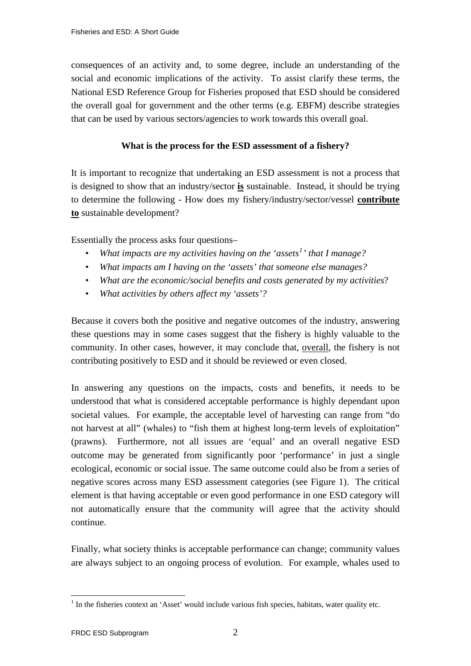consequences of an activity and, to some degree, include an understanding of the social and economic implications of the activity. To assist clarify these terms, the National ESD Reference Group for Fisheries proposed that ESD should be considered the overall goal for government and the other terms (e.g. EBFM) describe strategies that can be used by various sectors/agencies to work towards this overall goal.

# **What is the process for the ESD assessment of a fishery?**

It is important to recognize that undertaking an ESD assessment is not a process that is designed to show that an industry/sector **is** sustainable. Instead, it should be trying to determine the following - How does my fishery/industry/sector/vessel **contribute to** sustainable development?

Essentially the process asks four questions–

- *What impacts are my activities having on the 'assets[1](#page-1-0) ' that I manage?*
- *What impacts am I having on the 'assets' that someone else manages?*
- *What are the economic/social benefits and costs generated by my activities*?
- *What activities by others affect my 'assets'?*

Because it covers both the positive and negative outcomes of the industry, answering these questions may in some cases suggest that the fishery is highly valuable to the community. In other cases, however, it may conclude that, overall, the fishery is not contributing positively to ESD and it should be reviewed or even closed.

In answering any questions on the impacts, costs and benefits, it needs to be understood that what is considered acceptable performance is highly dependant upon societal values. For example, the acceptable level of harvesting can range from "do not harvest at all" (whales) to "fish them at highest long-term levels of exploitation" (prawns). Furthermore, not all issues are 'equal' and an overall negative ESD outcome may be generated from significantly poor 'performance' in just a single ecological, economic or social issue. The same outcome could also be from a series of negative scores across many ESD assessment categories (see Figure 1). The critical element is that having acceptable or even good performance in one ESD category will not automatically ensure that the community will agree that the activity should continue.

Finally, what society thinks is acceptable performance can change; community values are always subject to an ongoing process of evolution. For example, whales used to

1

<span id="page-1-0"></span><sup>&</sup>lt;sup>1</sup> In the fisheries context an 'Asset' would include various fish species, habitats, water quality etc.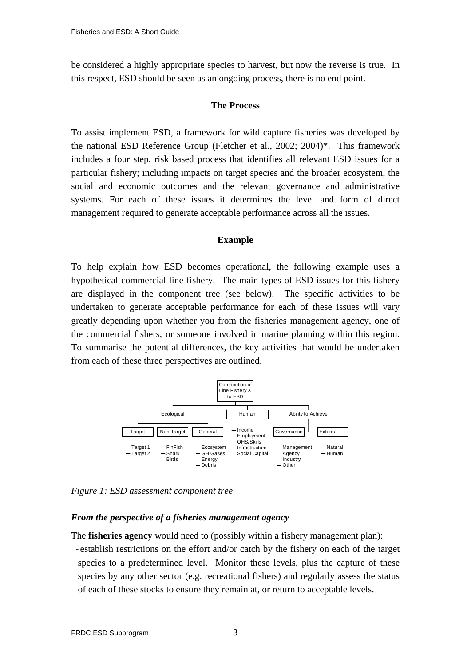be considered a highly appropriate species to harvest, but now the reverse is true. In this respect, ESD should be seen as an ongoing process, there is no end point.

#### **The Process**

To assist implement ESD, a framework for wild capture fisheries was developed by the national ESD Reference Group (Fletcher et al., 2002; 2004)\*. This framework includes a four step, risk based process that identifies all relevant ESD issues for a particular fishery; including impacts on target species and the broader ecosystem, the social and economic outcomes and the relevant governance and administrative systems. For each of these issues it determines the level and form of direct management required to generate acceptable performance across all the issues.

#### **Example**

To help explain how ESD becomes operational, the following example uses a hypothetical commercial line fishery. The main types of ESD issues for this fishery are displayed in the component tree (see below). The specific activities to be undertaken to generate acceptable performance for each of these issues will vary greatly depending upon whether you from the fisheries management agency, one of the commercial fishers, or someone involved in marine planning within this region. To summarise the potential differences, the key activities that would be undertaken from each of these three perspectives are outlined.



*Figure 1: ESD assessment component tree* 

# *From the perspective of a fisheries management agency*

The **fisheries agency** would need to (possibly within a fishery management plan): - establish restrictions on the effort and/or catch by the fishery on each of the target species to a predetermined level. Monitor these levels, plus the capture of these species by any other sector (e.g. recreational fishers) and regularly assess the status of each of these stocks to ensure they remain at, or return to acceptable levels.